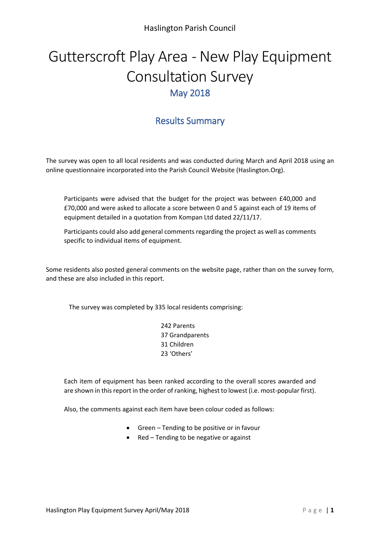# Gutterscroft Play Area - New Play Equipment Consultation Survey May 2018

### Results Summary

The survey was open to all local residents and was conducted during March and April 2018 using an online questionnaire incorporated into the Parish Council Website (Haslington.Org).

Participants were advised that the budget for the project was between £40,000 and £70,000 and were asked to allocate a score between 0 and 5 against each of 19 items of equipment detailed in a quotation from Kompan Ltd dated 22/11/17.

Participants could also add general comments regarding the project as well as comments specific to individual items of equipment.

Some residents also posted general comments on the website page, rather than on the survey form, and these are also included in this report.

The survey was completed by 335 local residents comprising:

242 Parents 37 Grandparents 31 Children 23 'Others'

Each item of equipment has been ranked according to the overall scores awarded and are shown in this report in the order of ranking, highest to lowest (i.e. most-popular first).

Also, the comments against each item have been colour coded as follows:

- Green Tending to be positive or in favour
- Red Tending to be negative or against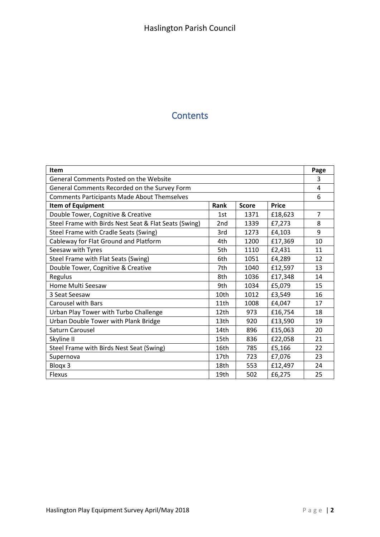#### **Contents**

| <b>Item</b>                                           |                  |              | Page         |                |
|-------------------------------------------------------|------------------|--------------|--------------|----------------|
| General Comments Posted on the Website                |                  |              |              | 3              |
| General Comments Recorded on the Survey Form          |                  |              |              | 4              |
| <b>Comments Participants Made About Themselves</b>    |                  |              |              | 6              |
| <b>Item of Equipment</b>                              | Rank             | <b>Score</b> | <b>Price</b> |                |
| Double Tower, Cognitive & Creative                    | 1st              | 1371         | £18,623      | $\overline{7}$ |
| Steel Frame with Birds Nest Seat & Flat Seats (Swing) | 2nd              | 1339         | £7,273       | 8              |
| Steel Frame with Cradle Seats (Swing)                 | 3rd              | 1273         | £4,103       | 9              |
| Cableway for Flat Ground and Platform                 | 4th              | 1200         | £17,369      | 10             |
| Seesaw with Tyres                                     | 5th              | 1110         | £2,431       | 11             |
| Steel Frame with Flat Seats (Swing)                   | 6th              | 1051         | £4,289       | 12             |
| Double Tower, Cognitive & Creative                    | 7th              | 1040         | £12,597      | 13             |
| Regulus                                               | 8th              | 1036         | £17,348      | 14             |
| Home Multi Seesaw                                     | 9th              | 1034         | £5,079       | 15             |
| 3 Seat Seesaw                                         | 10th             | 1012         | £3,549       | 16             |
| Carousel with Bars                                    | 11th             | 1008         | £4,047       | 17             |
| Urban Play Tower with Turbo Challenge                 | 12 <sub>th</sub> | 973          | £16,754      | 18             |
| Urban Double Tower with Plank Bridge                  | 13th             | 920          | £13,590      | 19             |
| Saturn Carousel                                       | 14th             | 896          | £15,063      | 20             |
| Skyline II                                            | 15th             | 836          | £22,058      | 21             |
| Steel Frame with Birds Nest Seat (Swing)              | 16th             | 785          | £5,166       | 22             |
| Supernova                                             | 17th             | 723          | £7,076       | 23             |
| Bloqx 3                                               | 18th             | 553          | £12,497      | 24             |
| Flexus                                                | 19th             | 502          | £6,275       | 25             |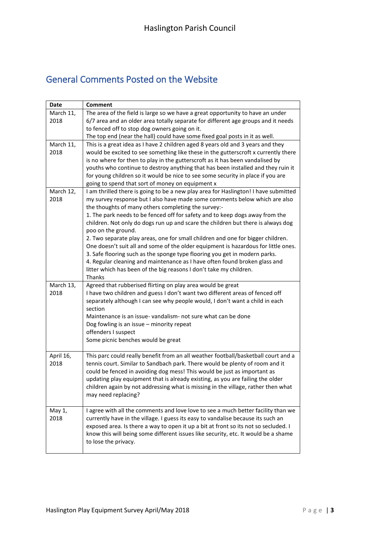### General Comments Posted on the Website

| Date              | <b>Comment</b>                                                                                                                                                    |
|-------------------|-------------------------------------------------------------------------------------------------------------------------------------------------------------------|
| March 11,         | The area of the field is large so we have a great opportunity to have an under                                                                                    |
| 2018              | 6/7 area and an older area totally separate for different age groups and it needs                                                                                 |
|                   | to fenced off to stop dog owners going on it.                                                                                                                     |
|                   | The top end (near the hall) could have some fixed goal posts in it as well.                                                                                       |
| March 11,         | This is a great idea as I have 2 children aged 8 years old and 3 years and they                                                                                   |
| 2018              | would be excited to see something like these in the gutterscroft x currently there                                                                                |
|                   | is no where for then to play in the gutterscroft as it has been vandalised by                                                                                     |
|                   | youths who continue to destroy anything that has been installed and they ruin it                                                                                  |
|                   | for young children so it would be nice to see some security in place if you are                                                                                   |
|                   | going to spend that sort of money on equipment x                                                                                                                  |
| March 12,<br>2018 | I am thrilled there is going to be a new play area for Haslington! I have submitted<br>my survey response but I also have made some comments below which are also |
|                   | the thoughts of many others completing the survey:-                                                                                                               |
|                   | 1. The park needs to be fenced off for safety and to keep dogs away from the                                                                                      |
|                   | children. Not only do dogs run up and scare the children but there is always dog                                                                                  |
|                   | poo on the ground.                                                                                                                                                |
|                   | 2. Two separate play areas, one for small children and one for bigger children.                                                                                   |
|                   | One doesn't suit all and some of the older equipment is hazardous for little ones.                                                                                |
|                   | 3. Safe flooring such as the sponge type flooring you get in modern parks.                                                                                        |
|                   | 4. Regular cleaning and maintenance as I have often found broken glass and                                                                                        |
|                   | litter which has been of the big reasons I don't take my children.                                                                                                |
|                   | Thanks                                                                                                                                                            |
| March 13,         | Agreed that rubberised flirting on play area would be great                                                                                                       |
| 2018              | I have two children and guess I don't want two different areas of fenced off                                                                                      |
|                   | separately although I can see why people would, I don't want a child in each                                                                                      |
|                   | section<br>Maintenance is an issue-vandalism- not sure what can be done                                                                                           |
|                   | Dog fowling is an issue - minority repeat                                                                                                                         |
|                   | offenders I suspect                                                                                                                                               |
|                   | Some picnic benches would be great                                                                                                                                |
|                   |                                                                                                                                                                   |
| April 16,         | This parc could really benefit from an all weather football/basketball court and a                                                                                |
| 2018              | tennis court. Similar to Sandbach park. There would be plenty of room and it                                                                                      |
|                   | could be fenced in avoiding dog mess! This would be just as important as                                                                                          |
|                   | updating play equipment that is already existing, as you are failing the older                                                                                    |
|                   | children again by not addressing what is missing in the village, rather then what                                                                                 |
|                   | may need replacing?                                                                                                                                               |
| May 1,            | I agree with all the comments and love love to see a much better facility than we                                                                                 |
| 2018              | currently have in the village. I guess its easy to vandalise because its such an                                                                                  |
|                   | exposed area. Is there a way to open it up a bit at front so its not so secluded. I                                                                               |
|                   | know this will being some different issues like security, etc. It would be a shame                                                                                |
|                   | to lose the privacy.                                                                                                                                              |
|                   |                                                                                                                                                                   |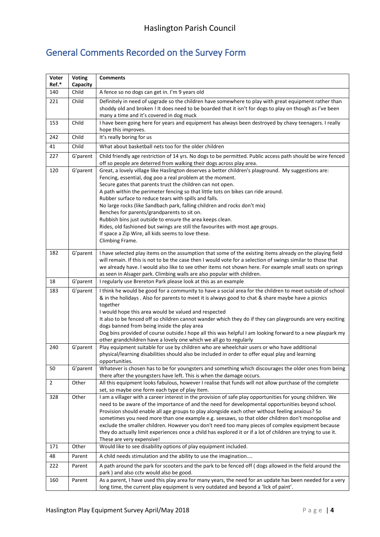## General Comments Recorded on the Survey Form

| Voter<br>Ref.* | <b>Voting</b><br>Capacity | <b>Comments</b>                                                                                                                                                                                                                                                                                                                                                                                                                                                                                                                                                                                                                                                                                                                   |
|----------------|---------------------------|-----------------------------------------------------------------------------------------------------------------------------------------------------------------------------------------------------------------------------------------------------------------------------------------------------------------------------------------------------------------------------------------------------------------------------------------------------------------------------------------------------------------------------------------------------------------------------------------------------------------------------------------------------------------------------------------------------------------------------------|
| 140            | Child                     | A fence so no dogs can get in. I'm 9 years old                                                                                                                                                                                                                                                                                                                                                                                                                                                                                                                                                                                                                                                                                    |
| 221            | Child                     | Definitely in need of upgrade so the children have somewhere to play with great equipment rather than<br>shoddy old and broken ! It does need to be boarded that it isn't for dogs to play on though as I've been<br>many a time and it's covered in dog muck                                                                                                                                                                                                                                                                                                                                                                                                                                                                     |
| 153            | Child                     | I have been going here for years and equipment has always been destroyed by chavy teenagers. I really<br>hope this improves.                                                                                                                                                                                                                                                                                                                                                                                                                                                                                                                                                                                                      |
| 242            | Child                     | It's really boring for us                                                                                                                                                                                                                                                                                                                                                                                                                                                                                                                                                                                                                                                                                                         |
| 41             | Child                     | What about basketball nets too for the older children                                                                                                                                                                                                                                                                                                                                                                                                                                                                                                                                                                                                                                                                             |
| 227            | G'parent                  | Child friendly age restriction of 14 yrs. No dogs to be permitted. Public access path should be wire fenced<br>off so people are deterred from walking their dogs across play area.                                                                                                                                                                                                                                                                                                                                                                                                                                                                                                                                               |
| 120            | G'parent                  | Great, a lovely village like Haslington deserves a better children's playground. My suggestions are:<br>Fencing, essential, dog poo a real problem at the moment.<br>Secure gates that parents trust the children can not open.<br>A path within the perimeter fencing so that little tots on bikes can ride around.<br>Rubber surface to reduce tears with spills and falls.<br>No large rocks (like Sandbach park, falling children and rocks don't mix)<br>Benches for parents/grandparents to sit on.<br>Rubbish bins just outside to ensure the area keeps clean.<br>Rides, old fashioned but swings are still the favourites with most age groups.<br>If space a Zip Wire, all kids seems to love these.<br>Climbing Frame. |
| 182            | G'parent                  | I have selected play items on the assumption that some of the existing items already on the playing field<br>will remain. If this is not to be the case then I would vote for a selection of swings similar to those that<br>we already have. I would also like to see other items not shown here. For example small seats on springs<br>as seen in Alsager park. Climbing walls are also popular with children.                                                                                                                                                                                                                                                                                                                  |
| 18             | G'parent                  | I regularly use Brereton Park please look at this as an example                                                                                                                                                                                                                                                                                                                                                                                                                                                                                                                                                                                                                                                                   |
| 183            | G'parent                  | I think he would be good for a community to have a social area for the children to meet outside of school<br>& in the holidays . Also for parents to meet it is always good to chat & share maybe have a picnics<br>together<br>I would hope this area would be valued and respected<br>It also to be fenced off so children cannot wander which they do if they can playgrounds are very exciting<br>dogs banned from being inside the play area<br>Dog bins provided of course outside. I hope all this was helpful I am looking forward to a new playpark my<br>other grandchildren have a lovely one which we all go to regularly                                                                                             |
| 240            | G'parent                  | Play equipment suitable for use by children who are wheelchair users or who have additional<br>physical/learning disabilities should also be included in order to offer equal play and learning<br>opportunities.                                                                                                                                                                                                                                                                                                                                                                                                                                                                                                                 |
| 50             | G'parent                  | Whatever is chosen has to be for youngsters and something which discourages the older ones from being<br>there after the youngsters have left. This is when the damage occurs.                                                                                                                                                                                                                                                                                                                                                                                                                                                                                                                                                    |
| $\overline{2}$ | Other                     | All this equipment looks fabulous, however I realise that funds will not allow purchase of the complete<br>set, so maybe one form each type of play item.                                                                                                                                                                                                                                                                                                                                                                                                                                                                                                                                                                         |
| 328            | Other                     | I am a villager with a career interest in the provision of safe play opportunities for young children. We<br>need to be aware of the importance of and the need for developmental opportunities beyond school.<br>Provision should enable all age groups to play alongside each other without feeling anxious? So<br>sometimes you need more than one example e.g. seesaws, so that older children don't monopolise and<br>exclude the smaller children. However you don't need too many pieces of complex equipment because<br>they do actually limit experiences once a child has explored it or if a lot of children are trying to use it.<br>These are very expensive!                                                        |
| 171            | Other                     | Would like to see disability options of play equipment included.                                                                                                                                                                                                                                                                                                                                                                                                                                                                                                                                                                                                                                                                  |
| 48             | Parent                    | A child needs stimulation and the ability to use the imagination                                                                                                                                                                                                                                                                                                                                                                                                                                                                                                                                                                                                                                                                  |
| 222            | Parent                    | A path around the park for scooters and the park to be fenced off (dogs allowed in the field around the<br>park) and also cctv would also be good.                                                                                                                                                                                                                                                                                                                                                                                                                                                                                                                                                                                |
| 160            | Parent                    | As a parent, I have used this play area for many years, the need for an update has been needed for a very<br>long time, the current play equipment is very outdated and beyond a 'lick of paint'.                                                                                                                                                                                                                                                                                                                                                                                                                                                                                                                                 |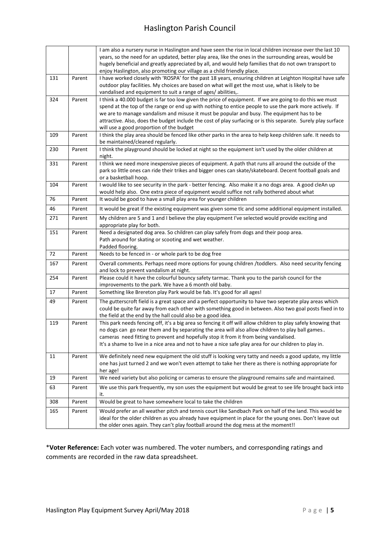### Haslington Parish Council

|     |        | I am also a nursery nurse in Haslington and have seen the rise in local children increase over the last 10                                                              |  |
|-----|--------|-------------------------------------------------------------------------------------------------------------------------------------------------------------------------|--|
|     |        | years, so the need for an updated, better play area, like the ones in the surrounding areas, would be                                                                   |  |
|     |        | hugely beneficial and greatly appreciated by all, and would help families that do not own transport to                                                                  |  |
|     |        | enjoy Haslington, also promoting our village as a child friendly place.                                                                                                 |  |
| 131 | Parent | I have worked closely with 'ROSPA' for the past 18 years, ensuring children at Leighton Hospital have safe                                                              |  |
|     |        | outdoor play facilities. My choices are based on what will get the most use, what is likely to be                                                                       |  |
|     |        | vandalised and equipment to suit a range of ages/ abilities,.                                                                                                           |  |
| 324 | Parent | I think a 40.000 budget is far too low given the price of equipment. If we are going to do this we must                                                                 |  |
|     |        | spend at the top of the range or end up with nothing to entice people to use the park more actively. If                                                                 |  |
|     |        | we are to manage vandalism and misuse it must be popular and busy. The equipment has to be                                                                              |  |
|     |        | attractive. Also, does the budget include the cost of play surfacing or is this separate. Surely play surface                                                           |  |
|     |        | will use a good proportion of the budget                                                                                                                                |  |
| 109 | Parent | I think the play area should be fenced like other parks in the area to help keep children safe. It needs to                                                             |  |
|     |        | be maintained/cleaned regularly.                                                                                                                                        |  |
| 230 | Parent | I think the playground should be locked at night so the equipment isn't used by the older children at                                                                   |  |
|     |        | night.                                                                                                                                                                  |  |
| 331 | Parent | I think we need more inexpensive pieces of equipment. A path that runs all around the outside of the                                                                    |  |
|     |        | park so little ones can ride their trikes and bigger ones can skate/skateboard. Decent football goals and                                                               |  |
|     |        | or a basketball hoop.                                                                                                                                                   |  |
| 104 | Parent | I would like to see security in the park - better fencing. Also make it a no dogs area. A good cleAn up                                                                 |  |
|     |        | would help also. One extra piece of equipment would suffice not rally bothered about what                                                                               |  |
| 76  | Parent | It would be good to have a small play area for younger children                                                                                                         |  |
| 46  | Parent | It would be great if the existing equipment was given some tlc and some additional equipment installed.                                                                 |  |
| 271 | Parent | My children are 5 and 1 and I believe the play equipment I've selected would provide exciting and                                                                       |  |
|     |        | appropriate play for both.                                                                                                                                              |  |
| 151 | Parent | Need a designated dog area. So children can play safely from dogs and their poop area.                                                                                  |  |
|     |        | Path around for skating or scooting and wet weather.                                                                                                                    |  |
|     |        | Padded flooring.                                                                                                                                                        |  |
| 72  | Parent | Needs to be fenced in - or whole park to be dog free                                                                                                                    |  |
| 167 | Parent | Overall comments. Perhaps need more options for young children /toddlers. Also need security fencing<br>and lock to prevent vandalism at night.                         |  |
| 254 | Parent | Please could it have the colourful bouncy safety tarmac. Thank you to the parish council for the                                                                        |  |
|     |        | improvements to the park. We have a 6 month old baby.                                                                                                                   |  |
| 17  | Parent | Something like Brereton play Park would be fab. It's good for all ages!                                                                                                 |  |
| 49  | Parent | The gutterscroft field is a great space and a perfect opportunity to have two seperate play areas which                                                                 |  |
|     |        | could be quite far away from each other with something good in between. Also two goal posts fixed in to                                                                 |  |
|     |        | the field at the end by the hall could also be a good idea.                                                                                                             |  |
| 119 | Parent | This park needs fencing off, it's a big area so fencing it off will allow children to play safely knowing that                                                          |  |
|     |        | no dogs can go near them and by separating the area will also allow children to play ball games                                                                         |  |
|     |        | cameras need fitting to prevent and hopefully stop it from it from being vandalised.                                                                                    |  |
|     |        | It's a shame to live in a nice area and not to have a nice safe play area for our children to play in.                                                                  |  |
| 11  | Parent | We definitely need new equipment the old stuff is looking very tatty and needs a good update, my little                                                                 |  |
|     |        | one has just turned 2 and we won't even attempt to take her there as there is nothing appropriate for                                                                   |  |
|     |        | her age!                                                                                                                                                                |  |
| 19  | Parent | We need variety but also policing or cameras to ensure the playground remains safe and maintained.                                                                      |  |
| 63  | Parent | We use this park frequently, my son uses the equipment but would be great to see life brought back into                                                                 |  |
| 308 | Parent | it.                                                                                                                                                                     |  |
|     |        | Would be great to have somewhere local to take the children<br>Would prefer an all weather pitch and tennis court like Sandbach Park on half of the land. This would be |  |
| 165 | Parent | ideal for the older children as you already have equipment in place for the young ones. Don't leave out                                                                 |  |
|     |        | the older ones again. They can't play football around the dog mess at the moment!!                                                                                      |  |
|     |        |                                                                                                                                                                         |  |

\***Voter Reference:** Each voter was numbered. The voter numbers, and corresponding ratings and comments are recorded in the raw data spreadsheet.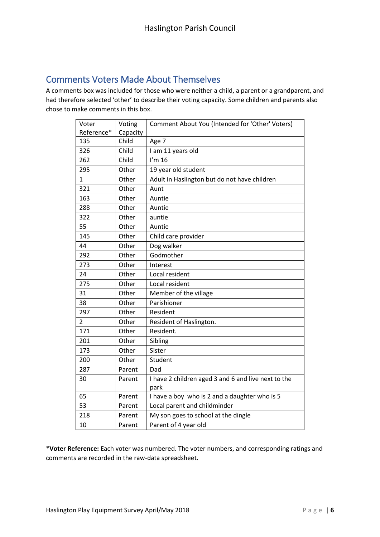### Comments Voters Made About Themselves

A comments box was included for those who were neither a child, a parent or a grandparent, and had therefore selected 'other' to describe their voting capacity. Some children and parents also chose to make comments in this box.

| Voter          | Voting   | Comment About You (Intended for 'Other' Voters)     |
|----------------|----------|-----------------------------------------------------|
| Reference*     | Capacity |                                                     |
| 135            | Child    | Age 7                                               |
| 326            | Child    | I am 11 years old                                   |
| 262            | Child    | $\mathsf{I}'\mathsf{m}$ 16                          |
| 295            | Other    | 19 year old student                                 |
| $\mathbf{1}$   | Other    | Adult in Haslington but do not have children        |
| 321            | Other    | Aunt                                                |
| 163            | Other    | Auntie                                              |
| 288            | Other    | Auntie                                              |
| 322            | Other    | auntie                                              |
| 55             | Other    | Auntie                                              |
| 145            | Other    | Child care provider                                 |
| 44             | Other    | Dog walker                                          |
| 292            | Other    | Godmother                                           |
| 273            | Other    | Interest                                            |
| 24             | Other    | Local resident                                      |
| 275            | Other    | Local resident                                      |
| 31             | Other    | Member of the village                               |
| 38             | Other    | Parishioner                                         |
| 297            | Other    | Resident                                            |
| $\overline{2}$ | Other    | Resident of Haslington.                             |
| 171            | Other    | Resident.                                           |
| 201            | Other    | Sibling                                             |
| 173            | Other    | Sister                                              |
| 200            | Other    | Student                                             |
| 287            | Parent   | Dad                                                 |
| 30             | Parent   | I have 2 children aged 3 and 6 and live next to the |
|                |          | park                                                |
| 65             | Parent   | I have a boy who is 2 and a daughter who is 5       |
| 53             | Parent   | Local parent and childminder                        |
| 218            | Parent   | My son goes to school at the dingle                 |
| 10             | Parent   | Parent of 4 year old                                |

\***Voter Reference:** Each voter was numbered. The voter numbers, and corresponding ratings and comments are recorded in the raw-data spreadsheet.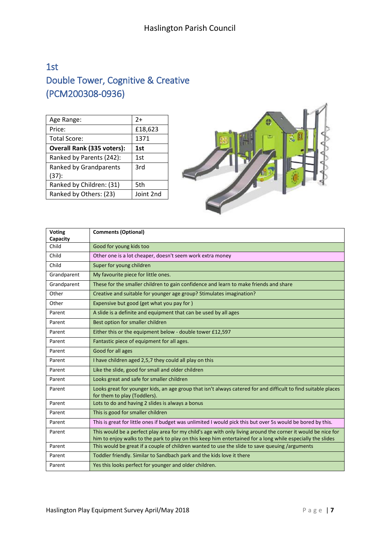## 1st Double Tower, Cognitive & Creative (PCM200308-0936)

| Age Range:                        | $2+$      |
|-----------------------------------|-----------|
| Price:                            | £18,623   |
| Total Score:                      | 1371      |
| <b>Overall Rank (335 voters):</b> | 1st       |
| Ranked by Parents (242):          | 1st       |
| <b>Ranked by Grandparents</b>     | 3rd       |
| (37):                             |           |
| Ranked by Children: (31)          | 5th       |
| Ranked by Others: (23)            | Joint 2nd |



| <b>Voting</b><br>Capacity | <b>Comments (Optional)</b>                                                                                                                                                                                                 |
|---------------------------|----------------------------------------------------------------------------------------------------------------------------------------------------------------------------------------------------------------------------|
| Child                     | Good for young kids too                                                                                                                                                                                                    |
| Child                     | Other one is a lot cheaper, doesn't seem work extra money                                                                                                                                                                  |
| Child                     | Super for young children                                                                                                                                                                                                   |
| Grandparent               | My favourite piece for little ones.                                                                                                                                                                                        |
| Grandparent               | These for the smaller children to gain confidence and learn to make friends and share                                                                                                                                      |
| Other                     | Creative and suitable for younger age group? Stimulates imagination?                                                                                                                                                       |
| Other                     | Expensive but good (get what you pay for)                                                                                                                                                                                  |
| Parent                    | A slide is a definite and equipment that can be used by all ages                                                                                                                                                           |
| Parent                    | Best option for smaller children                                                                                                                                                                                           |
| Parent                    | Either this or the equipment below - double tower £12,597                                                                                                                                                                  |
| Parent                    | Fantastic piece of equipment for all ages.                                                                                                                                                                                 |
| Parent                    | Good for all ages                                                                                                                                                                                                          |
| Parent                    | I have children aged 2,5,7 they could all play on this                                                                                                                                                                     |
| Parent                    | Like the slide, good for small and older children                                                                                                                                                                          |
| Parent                    | Looks great and safe for smaller children                                                                                                                                                                                  |
| Parent                    | Looks great for younger kids, an age group that isn't always catered for and difficult to find suitable places<br>for them to play (Toddlers).                                                                             |
| Parent                    | Lots to do and having 2 slides is always a bonus                                                                                                                                                                           |
| Parent                    | This is good for smaller children                                                                                                                                                                                          |
| Parent                    | This is great for little ones if budget was unlimited I would pick this but over 5s would be bored by this.                                                                                                                |
| Parent                    | This would be a perfect play area for my child's age with only living around the corner it would be nice for<br>him to enjoy walks to the park to play on this keep him entertained for a long while especially the slides |
| Parent                    | This would be great if a couple of children wanted to use the slide to save queuing /arguments                                                                                                                             |
| Parent                    | Toddler friendly. Similar to Sandbach park and the kids love it there                                                                                                                                                      |
| Parent                    | Yes this looks perfect for younger and older children.                                                                                                                                                                     |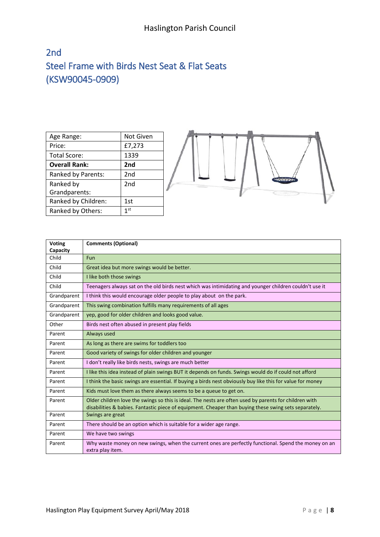### 2nd Steel Frame with Birds Nest Seat & Flat Seats (KSW90045-0909)

| Age Range:<br>Price:<br><b>Total Score:</b><br><b>Overall Rank:</b><br>Ranked by Parents: | Not Given<br>£7,273<br>1339<br>2nd<br>2nd |  |               |
|-------------------------------------------------------------------------------------------|-------------------------------------------|--|---------------|
| Ranked by                                                                                 | 2nd                                       |  | <b>STEERS</b> |
| Grandparents:                                                                             |                                           |  |               |
| Ranked by Children:                                                                       | 1st                                       |  |               |
| Ranked by Others:                                                                         | 1st                                       |  |               |

| <b>Voting</b><br>Capacity | <b>Comments (Optional)</b>                                                                                                                                                                                      |
|---------------------------|-----------------------------------------------------------------------------------------------------------------------------------------------------------------------------------------------------------------|
| Child                     | <b>Fun</b>                                                                                                                                                                                                      |
| Child                     | Great idea but more swings would be better.                                                                                                                                                                     |
| Child                     | I like both those swings                                                                                                                                                                                        |
| Child                     | Teenagers always sat on the old birds nest which was intimidating and younger children couldn't use it                                                                                                          |
| Grandparent               | I think this would encourage older people to play about on the park.                                                                                                                                            |
| Grandparent               | This swing combination fulfills many requirements of all ages                                                                                                                                                   |
| Grandparent               | yep, good for older children and looks good value.                                                                                                                                                              |
| Other                     | Birds nest often abused in present play fields                                                                                                                                                                  |
| Parent                    | Always used                                                                                                                                                                                                     |
| Parent                    | As long as there are swims for toddlers too                                                                                                                                                                     |
| Parent                    | Good variety of swings for older children and younger                                                                                                                                                           |
| Parent                    | I don't really like birds nests, swings are much better                                                                                                                                                         |
| Parent                    | I like this idea instead of plain swings BUT it depends on funds. Swings would do if could not afford                                                                                                           |
| Parent                    | I think the basic swings are essential. If buying a birds nest obviously buy like this for value for money                                                                                                      |
| Parent                    | Kids must love them as there always seems to be a queue to get on.                                                                                                                                              |
| Parent                    | Older children love the swings so this is ideal. The nests are often used by parents for children with<br>disabilities & babies. Fantastic piece of equipment. Cheaper than buying these swing sets separately. |
| Parent                    | Swings are great                                                                                                                                                                                                |
| Parent                    | There should be an option which is suitable for a wider age range.                                                                                                                                              |
| Parent                    | We have two swings                                                                                                                                                                                              |
| Parent                    | Why waste money on new swings, when the current ones are perfectly functional. Spend the money on an<br>extra play item.                                                                                        |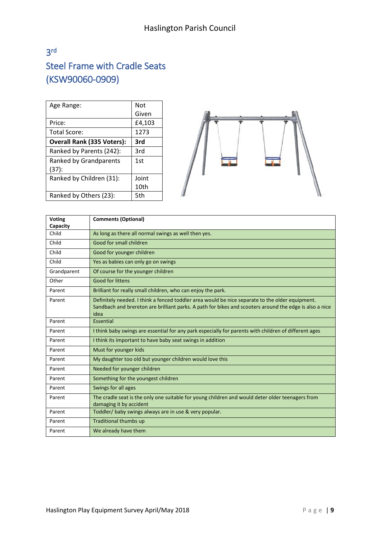### 3 rd Steel Frame with Cradle Seats (KSW90060-0909)

| Age Range:                        | <b>Not</b> |
|-----------------------------------|------------|
|                                   | Given      |
| Price:                            | £4,103     |
| Total Score:                      | 1273       |
| <b>Overall Rank (335 Voters):</b> | 3rd        |
| Ranked by Parents (242):          | 3rd        |
| <b>Ranked by Grandparents</b>     | 1st        |
| (37):                             |            |
| Ranked by Children (31):          | Joint      |
|                                   | 10th       |
| Ranked by Others (23):            | 5th        |



| <b>Voting</b><br>Capacity | <b>Comments (Optional)</b>                                                                                                                                                                                         |
|---------------------------|--------------------------------------------------------------------------------------------------------------------------------------------------------------------------------------------------------------------|
| Child                     | As long as there all normal swings as well then yes.                                                                                                                                                               |
| Child                     | Good for small children                                                                                                                                                                                            |
| Child                     | Good for younger children                                                                                                                                                                                          |
| Child                     | Yes as babies can only go on swings                                                                                                                                                                                |
| Grandparent               | Of course for the younger children                                                                                                                                                                                 |
| Other                     | <b>Good for littens</b>                                                                                                                                                                                            |
| Parent                    | Brilliant for really small children, who can enjoy the park.                                                                                                                                                       |
| Parent                    | Definitely needed. I think a fenced toddler area would be nice separate to the older equipment.<br>Sandbach and brereton are brilliant parks. A path for bikes and scooters around the edge is also a nice<br>idea |
| Parent                    | Essential                                                                                                                                                                                                          |
| Parent                    | I think baby swings are essential for any park especially for parents with children of different ages                                                                                                              |
| Parent                    | I think its important to have baby seat swings in addition                                                                                                                                                         |
| Parent                    | Must for younger kids                                                                                                                                                                                              |
| Parent                    | My daughter too old but younger children would love this                                                                                                                                                           |
| Parent                    | Needed for younger children                                                                                                                                                                                        |
| Parent                    | Something for the youngest children                                                                                                                                                                                |
| Parent                    | Swings for all ages                                                                                                                                                                                                |
| Parent                    | The cradle seat is the only one suitable for young children and would deter older teenagers from<br>damaging it by accident                                                                                        |
| Parent                    | Toddler/baby swings always are in use & very popular.                                                                                                                                                              |
| Parent                    | <b>Traditional thumbs up</b>                                                                                                                                                                                       |
| Parent                    | We already have them                                                                                                                                                                                               |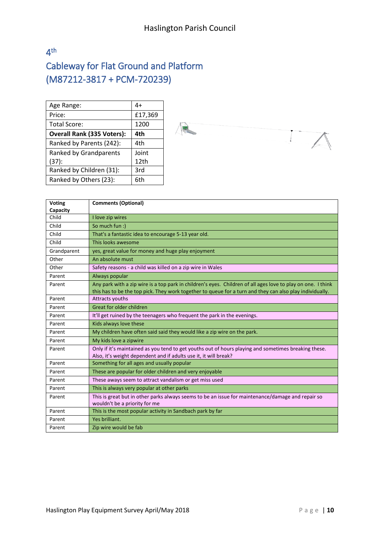4 th

## Cableway for Flat Ground and Platform (M87212-3817 + PCM-720239)

| Age Range:                        | 4+      |
|-----------------------------------|---------|
| Price:                            | £17,369 |
| Total Score:                      | 1200    |
| <b>Overall Rank (335 Voters):</b> | 4th     |
| Ranked by Parents (242):          | 4th     |
| Ranked by Grandparents            | Joint   |
| (37):                             | 12th    |
| Ranked by Children (31):          | 3rd     |
| Ranked by Others (23):            | 6th     |



| <b>Voting</b><br>Capacity | <b>Comments (Optional)</b>                                                                                                                                                                                               |
|---------------------------|--------------------------------------------------------------------------------------------------------------------------------------------------------------------------------------------------------------------------|
| Child                     | I love zip wires                                                                                                                                                                                                         |
| Child                     | So much fun :)                                                                                                                                                                                                           |
| Child                     | That's a fantastic idea to encourage 5-13 year old.                                                                                                                                                                      |
| Child                     | This looks awesome                                                                                                                                                                                                       |
| Grandparent               | yes, great value for money and huge play enjoyment                                                                                                                                                                       |
| Other                     | An absolute must                                                                                                                                                                                                         |
| Other                     | Safety reasons - a child was killed on a zip wire in Wales                                                                                                                                                               |
| Parent                    | Always popular                                                                                                                                                                                                           |
| Parent                    | Any park with a zip wire is a top park in children's eyes. Children of all ages love to play on one. I think<br>this has to be the top pick. They work together to queue for a turn and they can also play individually. |
| Parent                    | Attracts youths                                                                                                                                                                                                          |
| Parent                    | Great for older children                                                                                                                                                                                                 |
| Parent                    | It'll get ruined by the teenagers who frequent the park in the evenings.                                                                                                                                                 |
| Parent                    | Kids always love these                                                                                                                                                                                                   |
| Parent                    | My children have often said said they would like a zip wire on the park.                                                                                                                                                 |
| Parent                    | My kids love a zipwire                                                                                                                                                                                                   |
| Parent                    | Only if it's maintained as you tend to get youths out of hours playing and sometimes breaking these.                                                                                                                     |
|                           | Also, it's weight dependent and if adults use it, it will break?                                                                                                                                                         |
| Parent                    | Something for all ages and usually popular                                                                                                                                                                               |
| Parent                    | These are popular for older children and very enjoyable                                                                                                                                                                  |
| Parent                    | These aways seem to attract vandalism or get miss used                                                                                                                                                                   |
| Parent                    | This is always very popular at other parks                                                                                                                                                                               |
| Parent                    | This is great but in other parks always seems to be an issue for maintenance/damage and repair so<br>wouldn't be a priority for me                                                                                       |
| Parent                    | This is the most popular activity in Sandbach park by far                                                                                                                                                                |
| Parent                    | Yes brilliant.                                                                                                                                                                                                           |
| Parent                    | Zip wire would be fab                                                                                                                                                                                                    |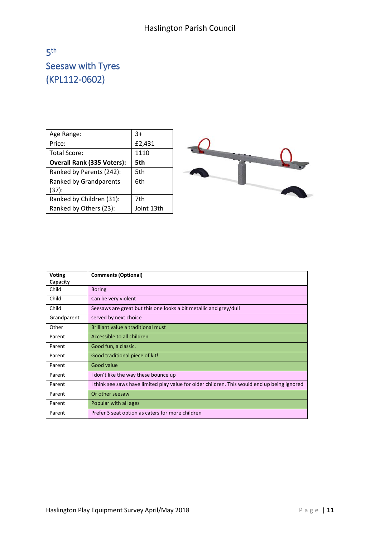### $5<sup>th</sup>$ Seesaw with Tyres (KPL112-0602)

| Age Range:                        | 3+         |
|-----------------------------------|------------|
| Price:                            | £2,431     |
| Total Score:                      | 1110       |
| <b>Overall Rank (335 Voters):</b> | 5th        |
| Ranked by Parents (242):          | 5th        |
| <b>Ranked by Grandparents</b>     | 6th        |
| (37):                             |            |
| Ranked by Children (31):          | 7th        |
| Ranked by Others (23):            | Joint 13th |



| <b>Voting</b> | <b>Comments (Optional)</b>                                                                   |
|---------------|----------------------------------------------------------------------------------------------|
| Capacity      |                                                                                              |
| Child         | <b>Boring</b>                                                                                |
| Child         | Can be very violent                                                                          |
| Child         | Seesaws are great but this one looks a bit metallic and grey/dull                            |
| Grandparent   | served by next choice                                                                        |
| Other         | Brilliant value a traditional must                                                           |
| Parent        | Accessible to all children                                                                   |
| Parent        | Good fun, a classic.                                                                         |
| Parent        | Good traditional piece of kit!                                                               |
| Parent        | Good value                                                                                   |
| Parent        | I don't like the way these bounce up                                                         |
| Parent        | I think see saws have limited play value for older children. This would end up being ignored |
| Parent        | Or other seesaw                                                                              |
| Parent        | Popular with all ages                                                                        |
| Parent        | Prefer 3 seat option as caters for more children                                             |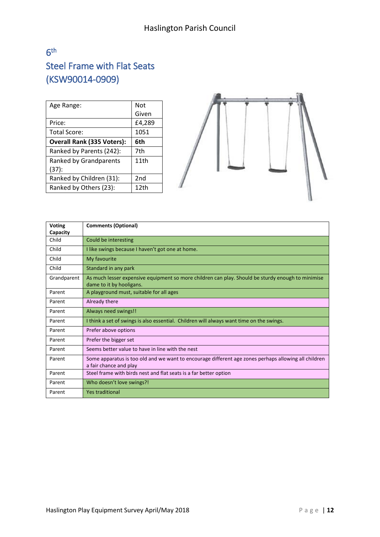### $6<sup>th</sup>$ Steel Frame with Flat Seats (KSW90014-0909)

| Age Range:                        | Not    |
|-----------------------------------|--------|
|                                   | Given  |
| Price:                            | £4,289 |
| Total Score:                      | 1051   |
| <b>Overall Rank (335 Voters):</b> | 6th    |
| Ranked by Parents (242):          | 7th    |
| Ranked by Grandparents            | 11th   |
| (37):                             |        |
| Ranked by Children (31):          | 2nd    |
| Ranked by Others (23):            | 12th   |



| <b>Voting</b><br>Capacity | <b>Comments (Optional)</b>                                                                                                     |
|---------------------------|--------------------------------------------------------------------------------------------------------------------------------|
| Child                     | Could be interesting                                                                                                           |
| Child                     | I like swings because I haven't got one at home.                                                                               |
| Child                     | My favourite                                                                                                                   |
| Child                     | Standard in any park                                                                                                           |
| Grandparent               | As much lesser expensive equipment so more children can play. Should be sturdy enough to minimise<br>dame to it by hooligans.  |
| Parent                    | A playground must, suitable for all ages                                                                                       |
| Parent                    | Already there                                                                                                                  |
| Parent                    | Always need swings!!                                                                                                           |
| Parent                    | I think a set of swings is also essential. Children will always want time on the swings.                                       |
| Parent                    | Prefer above options                                                                                                           |
| Parent                    | Prefer the bigger set                                                                                                          |
| Parent                    | Seems better value to have in line with the nest                                                                               |
| Parent                    | Some apparatus is too old and we want to encourage different age zones perhaps allowing all children<br>a fair chance and play |
| Parent                    | Steel frame with birds nest and flat seats is a far better option                                                              |
| Parent                    | Who doesn't love swings?!                                                                                                      |
| Parent                    | Yes traditional                                                                                                                |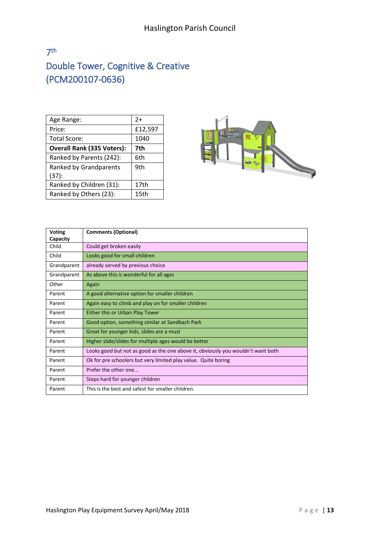### 7 th Double Tower, Cognitive & Creative (PCM200107-0636)

| Age Range:                        | $2+$    |
|-----------------------------------|---------|
| Price:                            | £12,597 |
| Total Score:                      | 1040    |
| <b>Overall Rank (335 Voters):</b> | 7th     |
| Ranked by Parents (242):          | 6th     |
| <b>Ranked by Grandparents</b>     | 9th     |
| (37):                             |         |
| Ranked by Children (31):          | 17th    |
| Ranked by Others (23):            | 15th    |



| <b>Voting</b><br>Capacity | <b>Comments (Optional)</b>                                                       |
|---------------------------|----------------------------------------------------------------------------------|
| Child                     | Could get broken easily                                                          |
| Child                     | Looks good for small children                                                    |
| Grandparent               | already served by previous choice                                                |
| Grandparent               | As above this is wonderful for all ages                                          |
| Other                     | Again                                                                            |
| Parent                    | A good alternative option for smaller children                                   |
| Parent                    | Again easy to climb and play on for smaller children                             |
| Parent                    | Either this or Urban Play Tower                                                  |
| Parent                    | Good option, something similar at Sandbach Park                                  |
| Parent                    | Great for younger kids, slides are a must                                        |
| Parent                    | Higher slide/slides for multiple ages would be better                            |
| Parent                    | Looks good but not as good as the one above it, obviously you wouldn't want both |
| Parent                    | Ok for pre schoolers but very limited play value. Quite boring                   |
| Parent                    | Prefer the other one                                                             |
| Parent                    | Steps hard for younger children                                                  |
| Parent                    | This is the best and safest for smaller children.                                |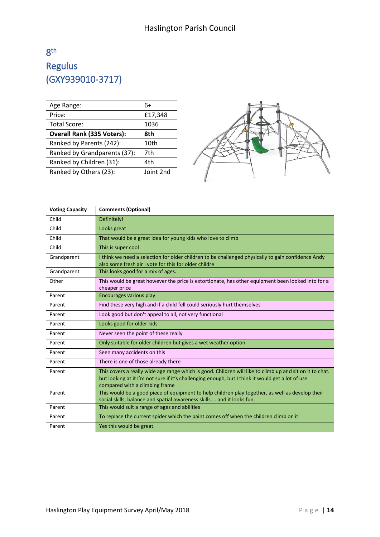8 th

## Regulus (GXY939010-3717)

| Age Range:                        | 6+        |
|-----------------------------------|-----------|
| Price:                            | £17,348   |
| Total Score:                      | 1036      |
| <b>Overall Rank (335 Voters):</b> | 8th       |
| Ranked by Parents (242):          | 10th      |
| Ranked by Grandparents (37):      | 7th       |
| Ranked by Children (31):          | 4th       |
| Ranked by Others (23):            | Joint 2nd |



| <b>Voting Capacity</b> | <b>Comments (Optional)</b>                                                                                                                                                                                                                     |
|------------------------|------------------------------------------------------------------------------------------------------------------------------------------------------------------------------------------------------------------------------------------------|
| Child                  | Definitely!                                                                                                                                                                                                                                    |
| Child                  | Looks great                                                                                                                                                                                                                                    |
| Child                  | That would be a great idea for young kids who love to climb                                                                                                                                                                                    |
| Child                  | This is super cool                                                                                                                                                                                                                             |
| Grandparent            | I think we need a selection for older children to be challenged physically to gain confidence Andy<br>also some fresh air I vote for this for older childre                                                                                    |
| Grandparent            | This looks good for a mix of ages.                                                                                                                                                                                                             |
| Other                  | This would be great however the price is extortionate, has other equipment been looked into for a<br>cheaper price                                                                                                                             |
| Parent                 | Encourages various play                                                                                                                                                                                                                        |
| Parent                 | Find these very high and if a child fell could seriously hurt themselves                                                                                                                                                                       |
| Parent                 | Look good but don't appeal to all, not very functional                                                                                                                                                                                         |
| Parent                 | Looks good for older kids                                                                                                                                                                                                                      |
| Parent                 | Never seen the point of these really                                                                                                                                                                                                           |
| Parent                 | Only suitable for older children but gives a wet weather option                                                                                                                                                                                |
| Parent                 | Seen many accidents on this                                                                                                                                                                                                                    |
| Parent                 | There is one of those already there                                                                                                                                                                                                            |
| Parent                 | This covers a really wide age range which is good. Children will like to climb up and sit on it to chat.<br>but looking at it I'm not sure if it's challenging enough, but I think it would get a lot of use<br>compared with a climbing frame |
| Parent                 | This would be a good piece of equipment to help children play together, as well as develop their<br>social skills, balance and spatial awareness skills  and it looks fun.                                                                     |
| Parent                 | This would suit a range of ages and abilities                                                                                                                                                                                                  |
| Parent                 | To replace the current spider which the paint comes off when the children climb on it                                                                                                                                                          |
| Parent                 | Yes this would be great.                                                                                                                                                                                                                       |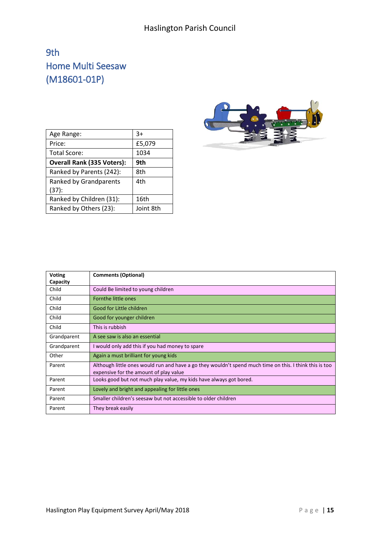### 9th Home Multi Seesaw (M18601-01P)

| Age Range:                        | 3+        |
|-----------------------------------|-----------|
| Price:                            | £5,079    |
| Total Score:                      | 1034      |
| <b>Overall Rank (335 Voters):</b> | 9th       |
| Ranked by Parents (242):          | 8th       |
| <b>Ranked by Grandparents</b>     | 4th       |
| (37):                             |           |
| Ranked by Children (31):          | 16th      |
| Ranked by Others (23):            | Joint 8th |



| <b>Voting</b> | <b>Comments (Optional)</b>                                                                                                                        |
|---------------|---------------------------------------------------------------------------------------------------------------------------------------------------|
| Capacity      |                                                                                                                                                   |
| Child         | Could Be limited to young children                                                                                                                |
| Child         | Fornthe little ones                                                                                                                               |
| Child         | Good for Little children                                                                                                                          |
| Child         | Good for younger children                                                                                                                         |
| Child         | This is rubbish                                                                                                                                   |
| Grandparent   | A see saw is also an essential                                                                                                                    |
| Grandparent   | would only add this if you had money to spare                                                                                                     |
| Other         | Again a must brilliant for young kids                                                                                                             |
| Parent        | Although little ones would run and have a go they wouldn't spend much time on this. I think this is too<br>expensive for the amount of play value |
| Parent        | Looks good but not much play value, my kids have always got bored.                                                                                |
| Parent        | Lovely and bright and appealing for little ones                                                                                                   |
| Parent        | Smaller children's seesaw but not accessible to older children                                                                                    |
| Parent        | They break easily                                                                                                                                 |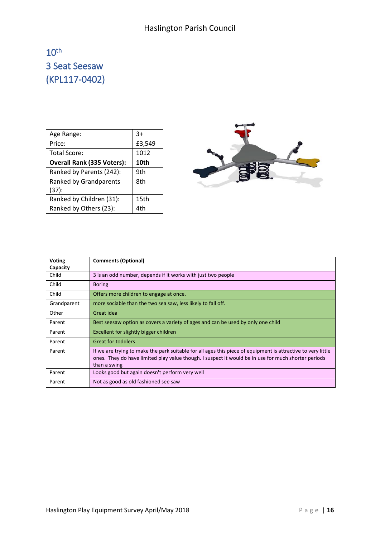### $10<sup>th</sup>$ 3 Seat Seesaw (KPL117-0402)

| Age Range:                        | $3+$   |
|-----------------------------------|--------|
| Price:                            | £3,549 |
| Total Score:                      | 1012   |
| <b>Overall Rank (335 Voters):</b> | 10th   |
| Ranked by Parents (242):          | 9th    |
| Ranked by Grandparents            | 8th    |
| (37):                             |        |
| Ranked by Children (31):          | 15th   |
| Ranked by Others (23):            | 4th    |



| <b>Voting</b> | <b>Comments (Optional)</b>                                                                                                                                                                                                          |
|---------------|-------------------------------------------------------------------------------------------------------------------------------------------------------------------------------------------------------------------------------------|
| Capacity      |                                                                                                                                                                                                                                     |
| Child         | 3 is an odd number, depends if it works with just two people                                                                                                                                                                        |
| Child         | <b>Boring</b>                                                                                                                                                                                                                       |
| Child         | Offers more children to engage at once.                                                                                                                                                                                             |
| Grandparent   | more sociable than the two sea saw, less likely to fall off.                                                                                                                                                                        |
| Other         | Great idea                                                                                                                                                                                                                          |
| Parent        | Best seesaw option as covers a variety of ages and can be used by only one child                                                                                                                                                    |
| Parent        | Excellent for slightly bigger children                                                                                                                                                                                              |
| Parent        | <b>Great for toddlers</b>                                                                                                                                                                                                           |
| Parent        | If we are trying to make the park suitable for all ages this piece of equipment is attractive to very little<br>ones. They do have limited play value though. I suspect it would be in use for much shorter periods<br>than a swing |
| Parent        | Looks good but again doesn't perform very well                                                                                                                                                                                      |
| Parent        | Not as good as old fashioned see saw                                                                                                                                                                                                |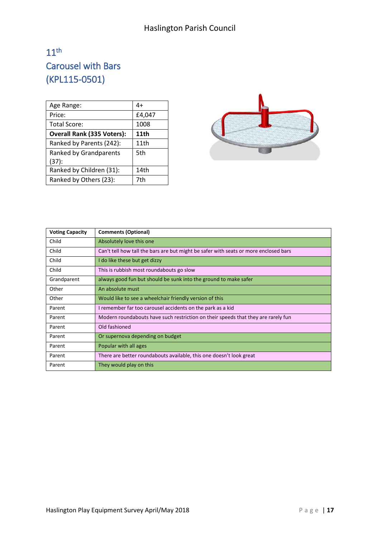### Haslington Parish Council

## $11<sup>th</sup>$ Carousel with Bars (KPL115-0501)

| Age Range:                        | 4+     |
|-----------------------------------|--------|
| Price:                            | £4,047 |
| Total Score:                      | 1008   |
| <b>Overall Rank (335 Voters):</b> | 11th   |
| Ranked by Parents (242):          | 11th   |
| Ranked by Grandparents            | 5th    |
| (37):                             |        |
| Ranked by Children (31):          | 14th   |
| Ranked by Others (23):            | 7th    |



| <b>Voting Capacity</b> | <b>Comments (Optional)</b>                                                           |
|------------------------|--------------------------------------------------------------------------------------|
| Child                  | Absolutely love this one                                                             |
| Child                  | Can't tell how tall the bars are but might be safer with seats or more enclosed bars |
| Child                  | I do like these but get dizzy                                                        |
| Child                  | This is rubbish most roundabouts go slow                                             |
| Grandparent            | always good fun but should be sunk into the ground to make safer                     |
| Other                  | An absolute must                                                                     |
| Other                  | Would like to see a wheelchair friendly version of this                              |
| Parent                 | I remember far too carousel accidents on the park as a kid                           |
| Parent                 | Modern roundabouts have such restriction on their speeds that they are rarely fun    |
| Parent                 | Old fashioned                                                                        |
| Parent                 | Or supernova depending on budget                                                     |
| Parent                 | Popular with all ages                                                                |
| Parent                 | There are better roundabouts available, this one doesn't look great                  |
| Parent                 | They would play on this                                                              |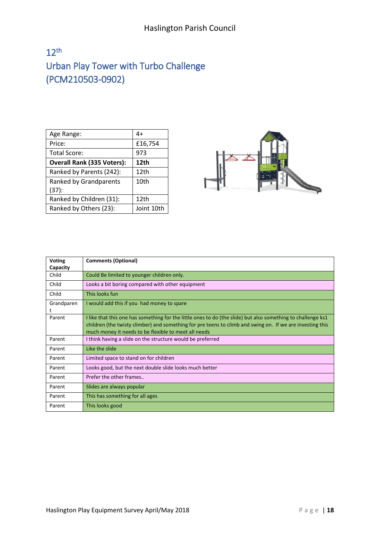## $12<sup>th</sup>$ Urban Play Tower with Turbo Challenge (PCM210503-0902)

| Age Range:                        | 4+         |
|-----------------------------------|------------|
| Price:                            | £16,754    |
| Total Score:                      | 973        |
| <b>Overall Rank (335 Voters):</b> | 12th       |
| Ranked by Parents (242):          | 12th       |
| Ranked by Grandparents            | 10th       |
| (37):                             |            |
| Ranked by Children (31):          | 12th       |
| Ranked by Others (23):            | Joint 10th |



| <b>Voting</b><br>Capacity | <b>Comments (Optional)</b>                                                                                                                                                                                                                                                        |
|---------------------------|-----------------------------------------------------------------------------------------------------------------------------------------------------------------------------------------------------------------------------------------------------------------------------------|
| Child                     | Could Be limited to younger children only.                                                                                                                                                                                                                                        |
| Child                     | Looks a bit boring compared with other equipment                                                                                                                                                                                                                                  |
| Child                     | This looks fun                                                                                                                                                                                                                                                                    |
| Grandparen<br>t           | I would add this if you had money to spare                                                                                                                                                                                                                                        |
| Parent                    | I like that this one has something for the little ones to do (the slide) but also something to challenge ks1<br>children (the twisty climber) and something for pre teens to climb and swing on. If we are investing this<br>much money it needs to be flexible to meet all needs |
| Parent                    | I think having a slide on the structure would be preferred                                                                                                                                                                                                                        |
| Parent                    | Like the slide                                                                                                                                                                                                                                                                    |
| Parent                    | Limited space to stand on for children                                                                                                                                                                                                                                            |
| Parent                    | Looks good, but the next double slide looks much better                                                                                                                                                                                                                           |
| Parent                    | Prefer the other frames                                                                                                                                                                                                                                                           |
| Parent                    | Slides are always popular                                                                                                                                                                                                                                                         |
| Parent                    | This has something for all ages                                                                                                                                                                                                                                                   |
| Parent                    | This looks good                                                                                                                                                                                                                                                                   |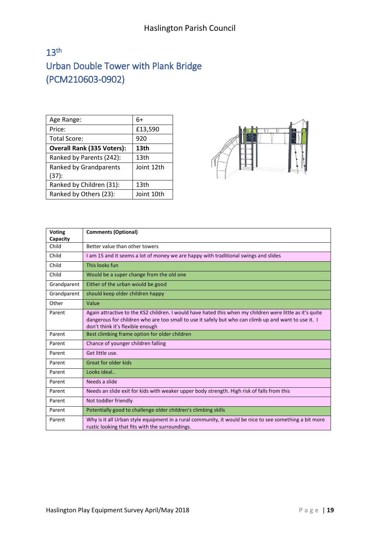## $13<sup>th</sup>$ Urban Double Tower with Plank Bridge (PCM210603-0902)

| Age Range:                        | 6+         |
|-----------------------------------|------------|
| Price:                            | £13,590    |
| Total Score:                      | 920        |
| <b>Overall Rank (335 Voters):</b> | 13th       |
| Ranked by Parents (242):          | 13th       |
| <b>Ranked by Grandparents</b>     | Joint 12th |
| (37):                             |            |
| Ranked by Children (31):          | 13th       |
| Ranked by Others (23):            | Joint 10th |



| <b>Voting</b> | <b>Comments (Optional)</b>                                                                                                                                                                                                                           |
|---------------|------------------------------------------------------------------------------------------------------------------------------------------------------------------------------------------------------------------------------------------------------|
| Capacity      |                                                                                                                                                                                                                                                      |
| Child         | Better value than other towers                                                                                                                                                                                                                       |
| Child         | I am 15 and it seems a lot of money we are happy with traditional swings and slides                                                                                                                                                                  |
| Child         | This looks fun                                                                                                                                                                                                                                       |
| Child         | Would be a super change from the old one                                                                                                                                                                                                             |
| Grandparent   | Either of the urban would be good                                                                                                                                                                                                                    |
| Grandparent   | should keep older children happy                                                                                                                                                                                                                     |
| Other         | Value                                                                                                                                                                                                                                                |
| Parent        | Again attractive to the KS2 children. I would have hated this when my children were little as it's quite<br>dangerous for children who are too small to use it safely but who can climb up and want to use it. I<br>don't think it's flexible enough |
| Parent        | Best climbing frame option for older children                                                                                                                                                                                                        |
| Parent        | Chance of younger children falling                                                                                                                                                                                                                   |
| Parent        | Get little use.                                                                                                                                                                                                                                      |
| Parent        | Great for older kids                                                                                                                                                                                                                                 |
| Parent        | Looks ideal                                                                                                                                                                                                                                          |
| Parent        | Needs a slide                                                                                                                                                                                                                                        |
| Parent        | Needs an slide exit for kids with weaker upper body strength. High risk of falls from this                                                                                                                                                           |
| Parent        | Not toddler friendly                                                                                                                                                                                                                                 |
| Parent        | Potentially good to challenge older children's climbing skills                                                                                                                                                                                       |
| Parent        | Why is it all Urban style equipment in a rural community, it would be nice to see something a bit more<br>rustic looking that fits with the surroundings.                                                                                            |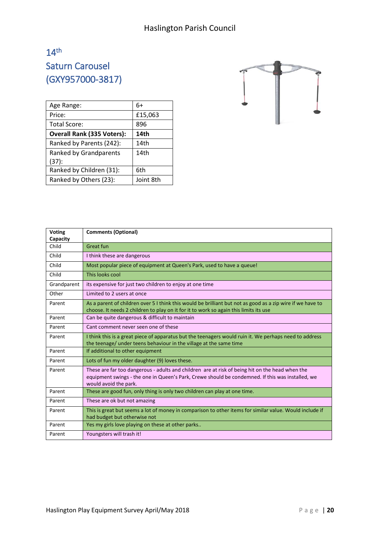### $14<sup>th</sup>$ Saturn Carousel (GXY957000-3817)

| Age Range:                        | 6+        |
|-----------------------------------|-----------|
| Price:                            | £15,063   |
| Total Score:                      | 896       |
| <b>Overall Rank (335 Voters):</b> | 14th      |
| Ranked by Parents (242):          | 14th      |
| <b>Ranked by Grandparents</b>     | 14th      |
| (37):                             |           |
| Ranked by Children (31):          | 6th       |
| Ranked by Others (23):            | Joint 8th |



| <b>Voting</b> | <b>Comments (Optional)</b>                                                                                                                                                                                                   |
|---------------|------------------------------------------------------------------------------------------------------------------------------------------------------------------------------------------------------------------------------|
| Capacity      |                                                                                                                                                                                                                              |
| Child         | <b>Great fun</b>                                                                                                                                                                                                             |
| Child         | I think these are dangerous                                                                                                                                                                                                  |
| Child         | Most popular piece of equipment at Queen's Park, used to have a queue!                                                                                                                                                       |
| Child         | This looks cool                                                                                                                                                                                                              |
| Grandparent   | its expensive for just two children to enjoy at one time                                                                                                                                                                     |
| Other         | Limited to 2 users at once                                                                                                                                                                                                   |
| Parent        | As a parent of children over 5 I think this would be brilliant but not as good as a zip wire if we have to<br>choose. It needs 2 children to play on it for it to work so again this limits its use                          |
| Parent        | Can be quite dangerous & difficult to maintain                                                                                                                                                                               |
| Parent        | Cant comment never seen one of these                                                                                                                                                                                         |
| Parent        | I think this is a great piece of apparatus but the teenagers would ruin it. We perhaps need to address<br>the teenage/ under teens behaviour in the village at the same time                                                 |
| Parent        | If additional to other equipment                                                                                                                                                                                             |
| Parent        | Lots of fun my older daughter (9) loves these.                                                                                                                                                                               |
| Parent        | These are far too dangerous - adults and children are at risk of being hit on the head when the<br>equipment swings - the one in Queen's Park, Crewe should be condemned. If this was installed, we<br>would avoid the park. |
| Parent        | These are good fun, only thing is only two children can play at one time.                                                                                                                                                    |
| Parent        | These are ok but not amazing                                                                                                                                                                                                 |
| Parent        | This is great but seems a lot of money in comparison to other items for similar value. Would include if<br>had budget but otherwise not                                                                                      |
| Parent        | Yes my girls love playing on these at other parks                                                                                                                                                                            |
| Parent        | Youngsters will trash it!                                                                                                                                                                                                    |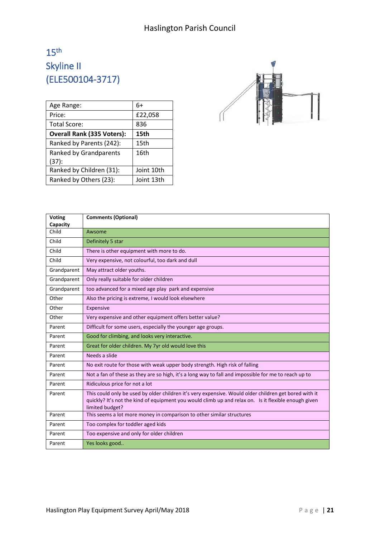### $15<sup>th</sup>$ Skyline II (ELE500104-3717)

| Age Range:                        | 6+         |
|-----------------------------------|------------|
| Price:                            | £22,058    |
| <b>Total Score:</b>               | 836        |
| <b>Overall Rank (335 Voters):</b> | 15th       |
| Ranked by Parents (242):          | 15th       |
| <b>Ranked by Grandparents</b>     | 16th       |
| (37):                             |            |
| Ranked by Children (31):          | Joint 10th |
| Ranked by Others (23):            | Joint 13th |



| <b>Voting</b><br>Capacity | <b>Comments (Optional)</b>                                                                                                                                                                                                       |
|---------------------------|----------------------------------------------------------------------------------------------------------------------------------------------------------------------------------------------------------------------------------|
| Child                     | Awsome                                                                                                                                                                                                                           |
| Child                     | Definitely 5 star                                                                                                                                                                                                                |
| Child                     | There is other equipment with more to do.                                                                                                                                                                                        |
| Child                     | Very expensive, not colourful, too dark and dull                                                                                                                                                                                 |
| Grandparent               | May attract older youths.                                                                                                                                                                                                        |
| Grandparent               | Only really suitable for older children                                                                                                                                                                                          |
| Grandparent               | too advanced for a mixed age play park and expensive                                                                                                                                                                             |
| Other                     | Also the pricing is extreme, I would look elsewhere                                                                                                                                                                              |
| Other                     | Expensive                                                                                                                                                                                                                        |
| Other                     | Very expensive and other equipment offers better value?                                                                                                                                                                          |
| Parent                    | Difficult for some users, especially the younger age groups.                                                                                                                                                                     |
| Parent                    | Good for climbing, and looks very interactive.                                                                                                                                                                                   |
| Parent                    | Great for older children. My 7yr old would love this                                                                                                                                                                             |
| Parent                    | Needs a slide                                                                                                                                                                                                                    |
| Parent                    | No exit route for those with weak upper body strength. High risk of falling                                                                                                                                                      |
| Parent                    | Not a fan of these as they are so high, it's a long way to fall and impossible for me to reach up to                                                                                                                             |
| Parent                    | Ridiculous price for not a lot                                                                                                                                                                                                   |
| Parent                    | This could only be used by older children it's very expensive. Would older children get bored with it<br>quickly? It's not the kind of equipment you would climb up and relax on. Is it flexible enough given<br>limited budget? |
| Parent                    | This seems a lot more money in comparison to other similar structures                                                                                                                                                            |
| Parent                    | Too complex for toddler aged kids                                                                                                                                                                                                |
| Parent                    | Too expensive and only for older children                                                                                                                                                                                        |
| Parent                    | Yes looks good                                                                                                                                                                                                                   |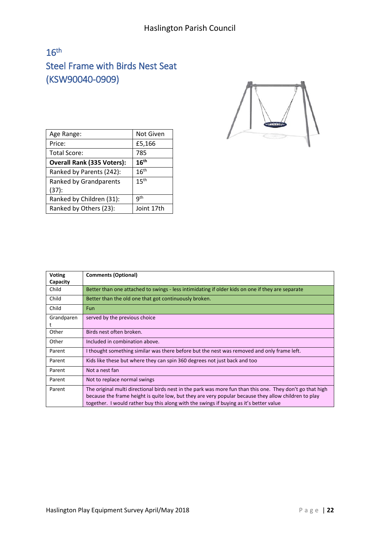## $16<sup>th</sup>$ Steel Frame with Birds Nest Seat (KSW90040-0909)

| Age Range:                        | Not Given        |
|-----------------------------------|------------------|
| Price:                            | £5,166           |
| Total Score:                      | 785              |
| <b>Overall Rank (335 Voters):</b> | 16 <sup>th</sup> |
| Ranked by Parents (242):          | 16 <sup>th</sup> |
| Ranked by Grandparents            | 15 <sup>th</sup> |
| (37):                             |                  |
| Ranked by Children (31):          | gth              |
| Ranked by Others (23):            | Joint 17th       |

| Voting<br>Capacity | <b>Comments (Optional)</b>                                                                                                                                                                                                                                                                                  |
|--------------------|-------------------------------------------------------------------------------------------------------------------------------------------------------------------------------------------------------------------------------------------------------------------------------------------------------------|
| Child              | Better than one attached to swings - less intimidating if older kids on one if they are separate                                                                                                                                                                                                            |
| Child              | Better than the old one that got continuously broken.                                                                                                                                                                                                                                                       |
| Child              | <b>Fun</b>                                                                                                                                                                                                                                                                                                  |
| Grandparen<br>t    | served by the previous choice                                                                                                                                                                                                                                                                               |
| Other              | Birds nest often broken.                                                                                                                                                                                                                                                                                    |
| Other              | Included in combination above.                                                                                                                                                                                                                                                                              |
| Parent             | I thought something similar was there before but the nest was removed and only frame left.                                                                                                                                                                                                                  |
| Parent             | Kids like these but where they can spin 360 degrees not just back and too                                                                                                                                                                                                                                   |
| Parent             | Not a nest fan                                                                                                                                                                                                                                                                                              |
| Parent             | Not to replace normal swings                                                                                                                                                                                                                                                                                |
| Parent             | The original multi directional birds nest in the park was more fun than this one. They don't go that high<br>because the frame height is quite low, but they are very popular because they allow children to play<br>together. I would rather buy this along with the swings if buying as it's better value |

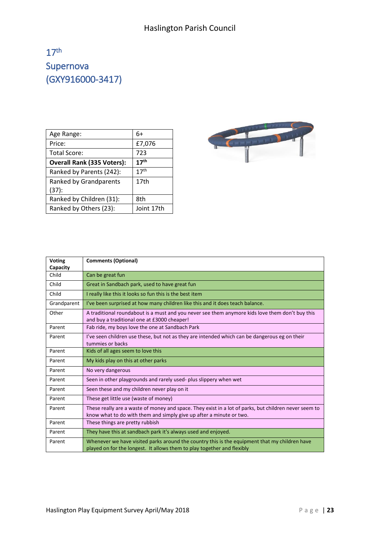### $17<sup>th</sup>$ Supernova (GXY916000-3417)

| Age Range:                        | 6+               |
|-----------------------------------|------------------|
| Price:                            | £7,076           |
| Total Score:                      | 723              |
| <b>Overall Rank (335 Voters):</b> | 17 <sup>th</sup> |
| Ranked by Parents (242):          | 17 <sup>th</sup> |
| <b>Ranked by Grandparents</b>     | 17 <sub>th</sub> |
| (37):                             |                  |
| Ranked by Children (31):          | 8th              |
| Ranked by Others (23):            | Joint 17th       |



| <b>Voting</b><br>Capacity | <b>Comments (Optional)</b>                                                                                                                                                   |
|---------------------------|------------------------------------------------------------------------------------------------------------------------------------------------------------------------------|
| Child                     | Can be great fun                                                                                                                                                             |
| Child                     | Great in Sandbach park, used to have great fun                                                                                                                               |
| Child                     | I really like this it looks so fun this is the best item                                                                                                                     |
| Grandparent               | I've been surprised at how many children like this and it does teach balance.                                                                                                |
| Other                     | A traditional roundabout is a must and you never see them anymore kids love them don't buy this<br>and buy a traditional one at £3000 cheaper!                               |
| Parent                    | Fab ride, my boys love the one at Sandbach Park                                                                                                                              |
| Parent                    | I've seen children use these, but not as they are intended which can be dangerous eg on their<br>tummies or backs                                                            |
| Parent                    | Kids of all ages seem to love this                                                                                                                                           |
| Parent                    | My kids play on this at other parks                                                                                                                                          |
| Parent                    | No very dangerous                                                                                                                                                            |
| Parent                    | Seen in other playgrounds and rarely used- plus slippery when wet                                                                                                            |
| Parent                    | Seen these and my children never play on it                                                                                                                                  |
| Parent                    | These get little use (waste of money)                                                                                                                                        |
| Parent                    | These really are a waste of money and space. They exist in a lot of parks, but children never seem to<br>know what to do with them and simply give up after a minute or two. |
| Parent                    | These things are pretty rubbish                                                                                                                                              |
| Parent                    | They have this at sandbach park it's always used and enjoyed.                                                                                                                |
| Parent                    | Whenever we have visited parks around the country this is the equipment that my children have<br>played on for the longest. It allows them to play together and flexibly     |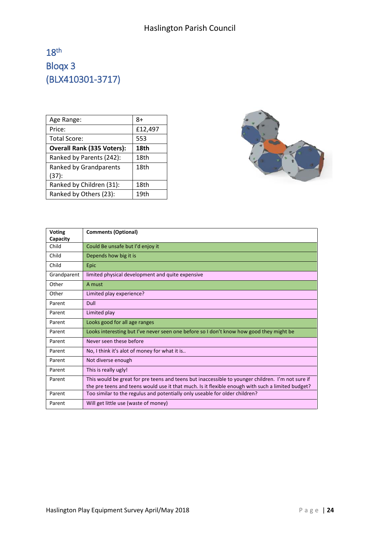### 18th Bloqx 3 (BLX410301-3717)

| Age Range:                        | 8+      |
|-----------------------------------|---------|
| Price:                            | £12,497 |
| Total Score:                      | 553     |
| <b>Overall Rank (335 Voters):</b> | 18th    |
| Ranked by Parents (242):          | 18th    |
| Ranked by Grandparents            | 18th    |
| (37):                             |         |
| Ranked by Children (31):          | 18th    |
| Ranked by Others (23):            | 19th    |



| <b>Voting</b><br>Capacity | <b>Comments (Optional)</b>                                                                                                                                                                             |
|---------------------------|--------------------------------------------------------------------------------------------------------------------------------------------------------------------------------------------------------|
| Child                     | Could Be unsafe but I'd enjoy it                                                                                                                                                                       |
| Child                     | Depends how big it is                                                                                                                                                                                  |
| Child                     | Epic                                                                                                                                                                                                   |
| Grandparent               | limited physical development and quite expensive                                                                                                                                                       |
| Other                     | A must                                                                                                                                                                                                 |
| Other                     | Limited play experience?                                                                                                                                                                               |
| Parent                    | Dull                                                                                                                                                                                                   |
| Parent                    | Limited play                                                                                                                                                                                           |
| Parent                    | Looks good for all age ranges                                                                                                                                                                          |
| Parent                    | Looks interesting but I've never seen one before so I don't know how good they might be                                                                                                                |
| Parent                    | Never seen these before                                                                                                                                                                                |
| Parent                    | No, I think it's alot of money for what it is                                                                                                                                                          |
| Parent                    | Not diverse enough                                                                                                                                                                                     |
| Parent                    | This is really ugly!                                                                                                                                                                                   |
| Parent                    | This would be great for pre teens and teens but inaccessible to younger children. I'm not sure if<br>the pre teens and teens would use it that much. Is it flexible enough with such a limited budget? |
| Parent                    | Too similar to the regulus and potentially only useable for older children?                                                                                                                            |
| Parent                    | Will get little use (waste of money)                                                                                                                                                                   |